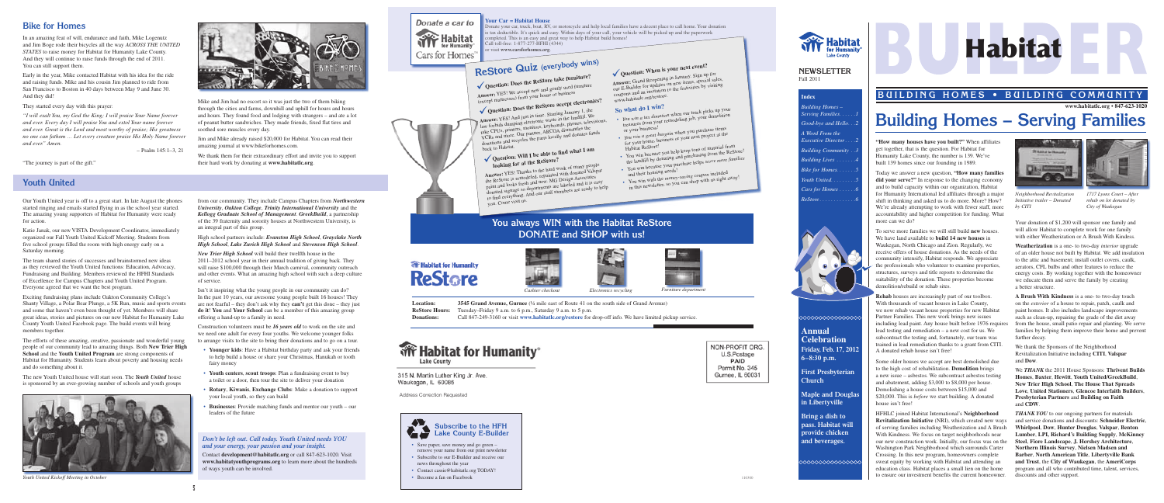#### **Your Car = Habitat House**

mpleted. This is an easy and great way to help Habitat build homes! Call toll-free: 1-877-277-HFHI (4344) visit www.carsforhomes.org.

> Your donation of \$1,200 will sponsor one family and will allow Habitat to complete work for one family with either Weatherization or A Brush With Kindess.

**Weatherization** is a one- to two-day *interior* upgrade of an older house not built by Habitat. We add insulation to the attic and basement; install outlet covers, caulk, aerators, CFL bulbs and other features to reduce the energy costs. By working together with the homeowner we educate them and serve the family by creating a better structure.

*THANK YOU* to our ongoing partners for materials and service donations and discounts: **Schneider Electric**, **Whirlpool**, **Dow**, **Hunter Douglas**, **Valspar**, **Benton Lumber**, **LPI, Richard's Building Supply**, **McKinney Steel**, **Fiore Landscape**, **J. Hershey Architecture**, **Northern Illinois Survey**, **Nielsen Madsen and Barber**, **North American Title**, **Libertyville Bank and Trust**, the **City of Waukegan**, the **AmeriCorps**  program and all who contributed time, talent, services, discounts and other support.

**A Brush With Kindness** is a one- to two-day touch on the *exterior* of a house to repair, patch, caulk and paint homes. It also includes landscape improvements such as clean-up, repairing the grade of the dirt away from the house, small patio repair and planting. We serve families by helping them improve their home and prevent further decay.

We thank the Sponsors of the Neighborhood Revitalization Initiative including **CITI**, **Valspar**  and **Dow**.

We *THANK* the 2011 House Sponsors: **Thrivent Builds Homes**, **Baxter**, **Hewitt**, **Youth United/GreekBuild**, **New Trier High School**, **The House That Spreads Love**, **United Stationers**, **Glencoe Interfaith Builders**, **Presbyterian Partners** and **Building on Faith**  and **CDW**.

**"How many houses have you built?"** When affiliates get together, that is the question. For Habitat for Humanity Lake County, the number is 139. We've built 139 homes since our founding in 1989.

**Maple and Dougla in Libertyville**

Today we answer a new question, **"How many families did your serve?"** In response to the changing economy and to build capacity within our organization, Habitat for Humanity International led affiliates through a major shift in thinking and asked us to do more. More? How? We're already attempting to work with fewer staff, more accountability and higher competition for funding. What more can we do?

To serve more families we will still build **new** houses. We have land available to **build 14 new houses** in Waukegan, North Chicago and Zion. Regularly, we receive offers of house donations. As the needs of the community intensify, Habitat responds. We appreciate the professionals who volunteer to examine properties, structures, surveys and title reports to determine the suitability of the donation. These properties become demolition/rebuild or rehab sites.

- • Save paper, save money and go green remove your name from our print newsletter
- Subscribe to our E-Builder and receive our news throughout the year
- Contact cassie@habitatlc.org TODAY!
- Become a fan on Facebook

**Rehab** houses are increasingly part of our toolbox. With thousands of vacant houses in Lake County, we now rehab vacant house properties for new Habitat Partner Families. This new work brings new issues including lead paint. Any house built before 1976 requires lead testing and remediation – a new cost for us. We subcontract the testing and, fortunately, our team was trained in lead remediation thanks to a grant from CITI. A donated rehab house isn't free!

Some older houses we accept are best demolished due to the high cost of rehabilitation. **Demolition** brings a new issue – asbestos. We subcontract asbestos testing and abatement, adding \$3,000 to \$8,000 per house. Demolishing a house costs between \$15,000 and \$20,000. This is *before* we start building. A donated house isn't free!

HFHLC joined Habitat International's **Neighborhood Revitalization Initiative** (NRI), which created new ways of serving families including Weatherization and A Brush With Kindness. We focus on target neighborhoods near our new construction work. Initially, our focus was on the Washington Park Neighborhood which surrounds Carter Crossing. In this new program, homeowners complete sweat equity by working with Habitat and attending an education class. Habitat places a small lien on the home to ensure our investment benefits the current homeowner.





#### **NEWSLETTER** Fall 2011

onate your car, truck, boat, RV, or motorcycle and help local families have a decent place to call home. Your donation is tax deductible. It's quick and easy. Within days of your call, your vehicle will be picked up and the paperwork

## **BUILDING HOMES • BUILDING COMMUNITY**

# **Building Homes – Serving Families**



| <b>Building Homes –</b><br>Serving Families. 1 |
|------------------------------------------------|
| Good-bye and Hello. 2                          |
| A Word From the<br>Executive Director2         |
| <b>Building Community</b> 3                    |
| Building Lives 4                               |
| Bike for Homes5                                |
| Youth United. 5                                |
| $Cars$ for Homes $\ldots \ldots$ .6            |
|                                                |



#### ◇◇◇◇◇◇◇◇◇◇◇◇◇

**Annual Celebration Friday, Feb. 17, 2012 6–8:30 p.m.**

**First Presbyterian Church**

**Bring a dish to pass. Habitat will provide chicken and beverages.**

≫≫≫≫≫≫≫≫≫∞

#### **www.habitatlc.org • 847-623-1020**

# Habitat

### **Bike for Homes**

In an amazing feat of will, endurance and faith, Mike Logenutz and Jim Boge rode their bicycles all the way *ACROSS THE UNITED STATES* to raise money for Habitat for Humanity Lake County. And they will continue to raise funds through the end of 2011. You can still support them.

Early in the year, Mike contacted Habitat with his idea for the ride and raising funds. Mike and his cousin Jim planned to ride from San Francisco to Boston in 40 days between May 9 and June 30. And they did!

They started every day with this prayer:

*"I will exalt You, my God the King; I will praise Your Name forever and ever. Every day I will praise You and extol Your name forever and ever. Great is the Lord and most worthy of praise; His greatness no one can fathom … Let every creature praise His Holy Name forever and ever." Amen.*

**Question: When is your next event? Answer:** Grand Reopening in January. Sign up for our E-Builder for updates on new items, special sales, coupons and an invitation to the festivities by visiting

– Psalm 145:1–3, 21



• *You win a tax donation* when our truck picks up your treasures from your remodeling job, your demolition<br>or your business! or your business!<br>• *You win a great bargain* when you purchase items<br>• *You win a great bargain* when your next project at the for your was some business or your next project at the

Habitat ReStore!<br>• You win because you help keep tons of material from<br>• You win because you help keep tons of material from

"The journey is part of the gift."

Mike and Jim had no escort so it was just the two of them biking through the cities and farms, downhill and uphill for hours and hours and hours. They found food and lodging with strangers – and ate a lot of peanut butter sandwiches. They made friends, fixed flat tires and soothed sore muscles every day.

- 
- 
- 
- 
- 
- 
- the landfill by donating and purchasing from the ReStore! • You win because your purchase helps *serve more families* and their housing needs! • You win with the *money-saving coupon* included in this newsletter, so you can shop with us right away!
- 
- **You always WIN with the Habitat ReStore DONATE and SHOP with us!**



Jim and Mike already raised \$20,000 for Habitat. You can read their amazing journal at www.bikeforhomes.com.

We thank them for their extraordinary effort and invite you to support their hard work by donating at **www.habitatlc.org**.



**Location: 3545 Grand Avenue, Gurnee** (¼ mile east of Route 41 on the south side of Grand Avenue) **ReStore Hours:** Tuesday–Friday 9 a.m. to 6 p.m., Saturday 9 a.m. to 5 p.m. **Donations:** Call 847-249-3160 or visit **www.habitatlc.org/restore** for drop-off info. We have limited pickup service.



315 N. Martin Luther King Jr. Ave. Waukegan, IL 60085

*1717 Lyons Court – After rehab on lot donated by City of Waukegan* 

*Neighborhood Revitalization Initiative trailer – Donated by CITI* 

## **Youth United**

Address Correction Requested

Our Youth United year is off to a great start. In late August the phones started ringing and emails started flying in as the school year started. The amazing young supporters of Habitat for Humanity were ready for action.

Katie Janak, our new VISTA Development Coordinator, immediately organized our Fall Youth United Kickoff Meeting. Students from five school groups filled the room with high energy early on a Saturday morning.

The team shared stories of successes and brainstormed new ideas as they reviewed the Youth United functions: Education, Advocacy, Fundraising and Building. Members reviewed the HFHI Standards of Excellence for Campus Chapters and Youth United Program. Everyone agreed that we want the best program.

Exciting fundraising plans include Oakton Community College's Shanty Village, a Polar Bear Plunge, a 5K Run, music and sports events and some that haven't even been thought of yet. Members will share great ideas, stories and pictures on our new Habitat for Humanity Lake County Youth United Facebook page. The build events will bring members together.

The efforts of these amazing, creative, passionate and wonderful young people of our community lead to amazing things. Both **New Trier High School** and the **Youth United Program** are strong components of Habitat for Humanity. Students learn about poverty and housing needs and do something about it.

The new Youth United house will start soon. The *Youth United* house is sponsored by an ever-growing number of schools and youth groups

from our community. They include Campus Chapters from *Northwestern University*, *Oakton College*, *Trinity International University* and the *Kellogg Graduate School of Management*. *GreekBuild*, a partnership of the 39 fraternity and sorority houses at Northwestern University, is an integral part of this group.

High school partners include: *Evanston High School*, *Grayslake North High School*, *Lake Zurich High School* and *Stevenson High School*.

*New Trier High School* will build their twelfth house in the 2011–2012 school year in their annual tradition of giving back. They will raise \$100,000 through their March carnival, community outreach and other events. What an amazing high school with such a deep culture of service.

Isn't it inspiring what the young people in our community can do? In the past 10 years, our awesome young people built 16 houses! They are not fearful – they don't ask why they **can't** get this done – they just **do it**! **You** and **Your School** can be a member of this amazing group offering a hand-up to a family in need.

Construction volunteers must be *16 years old* to work on the site and we need one adult for every four youths. We welcome younger folks to arrange visits to the site to bring their donations and to go on a tour.

- • **Younger kids**: Have a Habitat birthday party and ask your friends to help build a house or share your Christmas, Hanukah or tooth fairy money
- **Youth centers, scout troops:** Plan a fundraising event to buy a toilet or a door, then tour the site to deliver your donation
- • **Rotary**, **Kiwanis**, **Exchange Clubs**: Make a donation to support your local youth, so they can build
- **Businesses**: Provide matching funds and mentor our youth our leaders of the future



*Cashier checkout Electronics recycling Furniture department*

- 
- 







*Youth United Kickoff Meeting in October*

#### *Don't be left out. Call today. Youth United needs YOU and your energy, your passion and your insight.*

Contact **development@habitatlc.org** or call 847-623-1020. Visit **www.habitatyouthprograms.org** to learn more about the hundreds of ways youth can be involved.

Donate a car to 渝 Habitat for Humanitv Cars for Homes

# **ReStore Quiz (everybody wins)**

# **Question: Does the ReStore take furniture?**

**Answer:** YES! We accept new and gently used furniture (except mattresses) from your home or business **Question: Does the ReStore accept electronics?** 

**Answer:** YES! And just in time. Starting January 1, the law forbids dumping electronic waste in the landfill. We take CPUs, printers, monitors, keyboards, phones, televisions, VCRs and more. Our partner, ARCOA dismantles the donations and recycles the parts locally and donates funds back to Habitat.

**Question: Will I be able to find what I am looking for at the ReStore?**

**Answer:** YES! Thanks to the hard work of many people the ReStore is remodeled, repainted with donated Valspar paint and looks fresh and new. MG Design Associates donated signage so departments are labeled and it is easy to find everything. And our staff members are ready to help you. Come visit us.

# **The Habitat for Humanity ReStore**



www.habitatlc.org/restore. **So what do I win?**